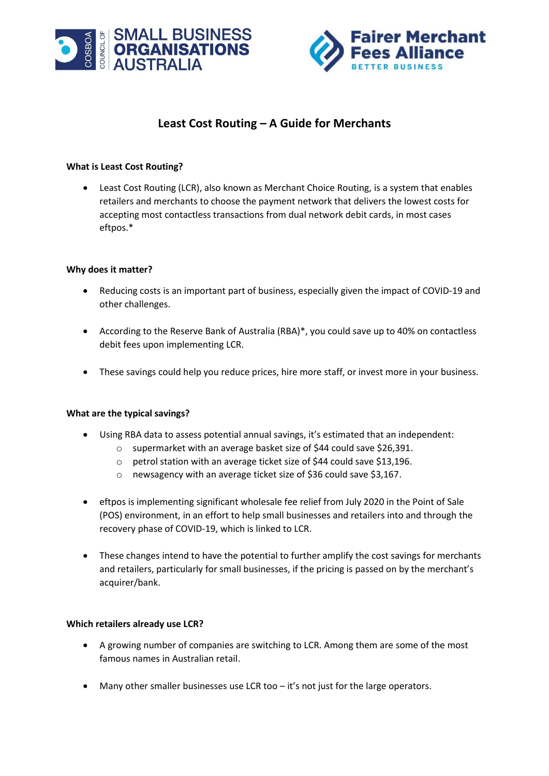



# **Least Cost Routing – A Guide for Merchants**

# **What is Least Cost Routing?**

• Least Cost Routing (LCR), also known as Merchant Choice Routing, is a system that enables retailers and merchants to choose the payment network that delivers the lowest costs for accepting most contactless transactions from dual network debit cards, in most cases eftpos.\*

# **Why does it matter?**

- Reducing costs is an important part of business, especially given the impact of COVID-19 and other challenges.
- According to the Reserve Bank of Australia (RBA)\*, you could save up to 40% on contactless debit fees upon implementing LCR.
- These savings could help you reduce prices, hire more staff, or invest more in your business.

#### **What are the typical savings?**

- Using RBA data to assess potential annual savings, it's estimated that an independent:
	- o supermarket with an average basket size of \$44 could save \$26,391.
	- o petrol station with an average ticket size of \$44 could save \$13,196.
	- o newsagency with an average ticket size of \$36 could save \$3,167.
- eftpos is implementing significant wholesale fee relief from July 2020 in the Point of Sale (POS) environment, in an effort to help small businesses and retailers into and through the recovery phase of COVID-19, which is linked to LCR.
- These changes intend to have the potential to further amplify the cost savings for merchants and retailers, particularly for small businesses, if the pricing is passed on by the merchant's acquirer/bank.

#### **Which retailers already use LCR?**

- A growing number of companies are switching to LCR. Among them are some of the most famous names in Australian retail.
- Many other smaller businesses use LCR too it's not just for the large operators.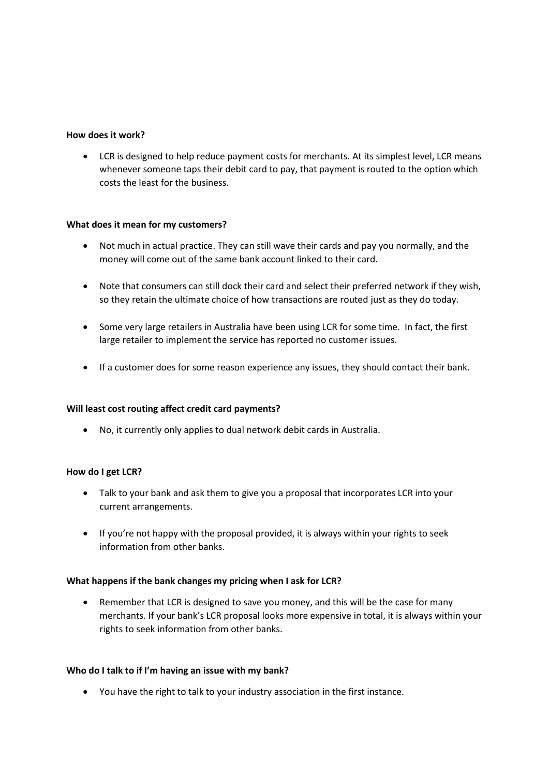#### **How does it work?**

• LCR is designed to help reduce payment costs for merchants. At its simplest level, LCR means whenever someone taps their debit card to pay, that payment is routed to the option which costs the least for the business.

# **What does it mean for my customers?**

- Not much in actual practice. They can still wave their cards and pay you normally, and the money will come out of the same bank account linked to their card.
- Note that consumers can still dock their card and select their preferred network if they wish, so they retain the ultimate choice of how transactions are routed just as they do today.
- Some very large retailers in Australia have been using LCR for some time. In fact, the first large retailer to implement the service has reported no customer issues.
- If a customer does for some reason experience any issues, they should contact their bank.

#### **Will least cost routing affect credit card payments?**

• No, it currently only applies to dual network debit cards in Australia.

#### **How do I get LCR?**

- Talk to your bank and ask them to give you a proposal that incorporates LCR into your current arrangements.
- If you're not happy with the proposal provided, it is always within your rights to seek information from other banks.

#### **What happens if the bank changes my pricing when I ask for LCR?**

• Remember that LCR is designed to save you money, and this will be the case for many merchants. If your bank's LCR proposal looks more expensive in total, it is always within your rights to seek information from other banks.

#### **Who do I talk to if I'm having an issue with my bank?**

• You have the right to talk to your industry association in the first instance.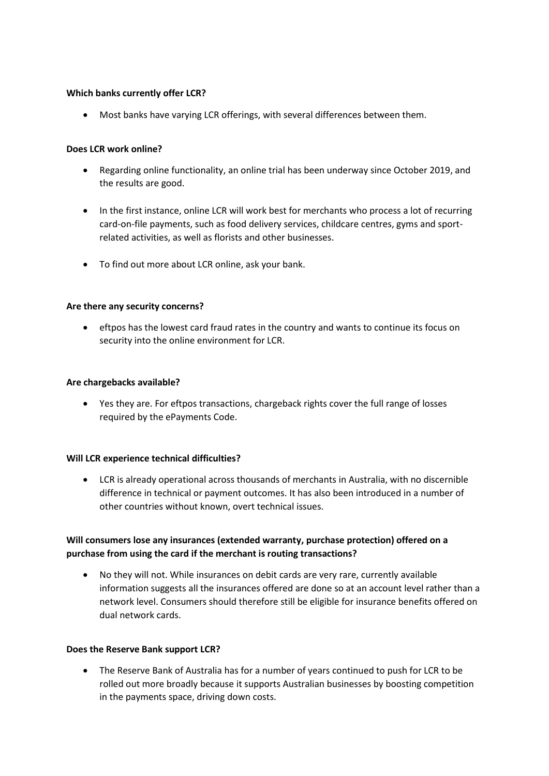#### **Which banks currently offer LCR?**

• Most banks have varying LCR offerings, with several differences between them.

#### **Does LCR work online?**

- Regarding online functionality, an online trial has been underway since October 2019, and the results are good.
- In the first instance, online LCR will work best for merchants who process a lot of recurring card-on-file payments, such as food delivery services, childcare centres, gyms and sportrelated activities, as well as florists and other businesses.
- To find out more about LCR online, ask your bank.

#### **Are there any security concerns?**

• eftpos has the lowest card fraud rates in the country and wants to continue its focus on security into the online environment for LCR.

#### **Are chargebacks available?**

• Yes they are. For eftpos transactions, chargeback rights cover the full range of losses required by the ePayments Code.

#### **Will LCR experience technical difficulties?**

• LCR is already operational across thousands of merchants in Australia, with no discernible difference in technical or payment outcomes. It has also been introduced in a number of other countries without known, overt technical issues.

# **Will consumers lose any insurances (extended warranty, purchase protection) offered on a purchase from using the card if the merchant is routing transactions?**

• No they will not. While insurances on debit cards are very rare, currently available information suggests all the insurances offered are done so at an account level rather than a network level. Consumers should therefore still be eligible for insurance benefits offered on dual network cards.

# **Does the Reserve Bank support LCR?**

• The Reserve Bank of Australia has for a number of years continued to push for LCR to be rolled out more broadly because it supports Australian businesses by boosting competition in the payments space, driving down costs.